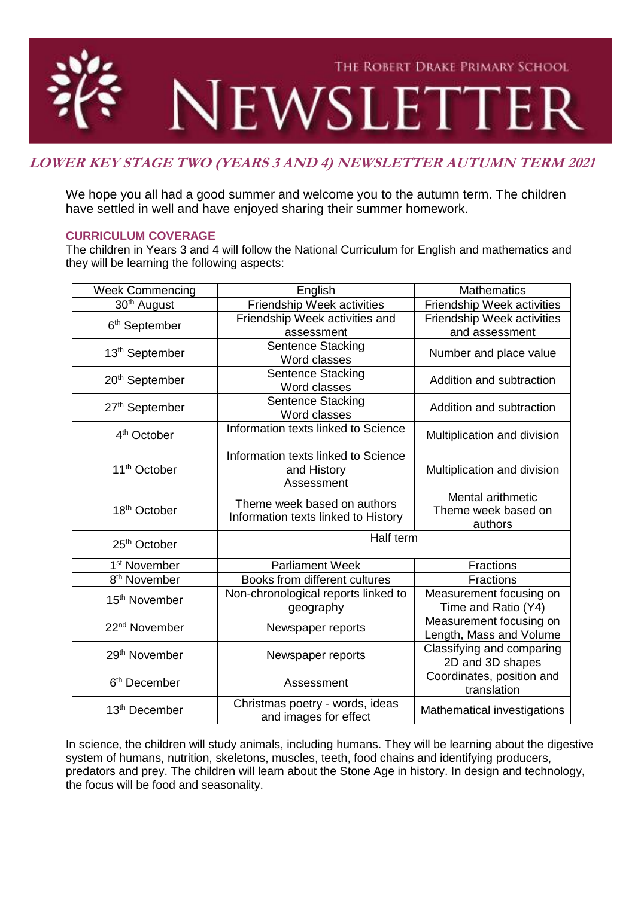

# **LOWER KEY STAGE TWO (YEARS 3 AND 4) NEWSLETTER AUTUMN TERM 2021**

We hope you all had a good summer and welcome you to the autumn term. The children have settled in well and have enjoyed sharing their summer homework.

## **CURRICULUM COVERAGE**

The children in Years 3 and 4 will follow the National Curriculum for English and mathematics and they will be learning the following aspects:

| Friendship Week activities<br>30 <sup>th</sup> August<br>Friendship Week activities<br>Friendship Week activities and<br><b>Friendship Week activities</b><br>6 <sup>th</sup> September<br>and assessment<br>assessment<br><b>Sentence Stacking</b><br>13 <sup>th</sup> September<br>Number and place value<br>Word classes<br><b>Sentence Stacking</b><br>20 <sup>th</sup> September<br>Addition and subtraction<br>Word classes<br>Sentence Stacking<br>27th September<br>Addition and subtraction<br>Word classes<br>Information texts linked to Science<br>4 <sup>th</sup> October<br>Multiplication and division<br>Information texts linked to Science<br>11 <sup>th</sup> October<br>and History<br>Multiplication and division<br>Assessment<br>Mental arithmetic<br>Theme week based on authors<br>18 <sup>th</sup> October<br>Theme week based on<br>Information texts linked to History<br>authors<br>Half term<br>25th October<br><b>Parliament Week</b><br>1 <sup>st</sup> November<br>Fractions<br>8 <sup>th</sup> November<br>Books from different cultures<br><b>Fractions</b><br>Measurement focusing on<br>Non-chronological reports linked to<br>15 <sup>th</sup> November<br>Time and Ratio (Y4)<br>geography<br>Measurement focusing on<br>22 <sup>nd</sup> November<br>Newspaper reports<br>Length, Mass and Volume<br>Classifying and comparing<br>29 <sup>th</sup> November<br>Newspaper reports<br>2D and 3D shapes<br>Coordinates, position and<br>6 <sup>th</sup> December<br>Assessment<br>translation<br>Christmas poetry - words, ideas<br>13 <sup>th</sup> December<br>Mathematical investigations | <b>Week Commencing</b> | English               | <b>Mathematics</b> |
|-----------------------------------------------------------------------------------------------------------------------------------------------------------------------------------------------------------------------------------------------------------------------------------------------------------------------------------------------------------------------------------------------------------------------------------------------------------------------------------------------------------------------------------------------------------------------------------------------------------------------------------------------------------------------------------------------------------------------------------------------------------------------------------------------------------------------------------------------------------------------------------------------------------------------------------------------------------------------------------------------------------------------------------------------------------------------------------------------------------------------------------------------------------------------------------------------------------------------------------------------------------------------------------------------------------------------------------------------------------------------------------------------------------------------------------------------------------------------------------------------------------------------------------------------------------------------------------------------------------------------------------|------------------------|-----------------------|--------------------|
|                                                                                                                                                                                                                                                                                                                                                                                                                                                                                                                                                                                                                                                                                                                                                                                                                                                                                                                                                                                                                                                                                                                                                                                                                                                                                                                                                                                                                                                                                                                                                                                                                                   |                        |                       |                    |
|                                                                                                                                                                                                                                                                                                                                                                                                                                                                                                                                                                                                                                                                                                                                                                                                                                                                                                                                                                                                                                                                                                                                                                                                                                                                                                                                                                                                                                                                                                                                                                                                                                   |                        |                       |                    |
|                                                                                                                                                                                                                                                                                                                                                                                                                                                                                                                                                                                                                                                                                                                                                                                                                                                                                                                                                                                                                                                                                                                                                                                                                                                                                                                                                                                                                                                                                                                                                                                                                                   |                        |                       |                    |
|                                                                                                                                                                                                                                                                                                                                                                                                                                                                                                                                                                                                                                                                                                                                                                                                                                                                                                                                                                                                                                                                                                                                                                                                                                                                                                                                                                                                                                                                                                                                                                                                                                   |                        |                       |                    |
|                                                                                                                                                                                                                                                                                                                                                                                                                                                                                                                                                                                                                                                                                                                                                                                                                                                                                                                                                                                                                                                                                                                                                                                                                                                                                                                                                                                                                                                                                                                                                                                                                                   |                        |                       |                    |
|                                                                                                                                                                                                                                                                                                                                                                                                                                                                                                                                                                                                                                                                                                                                                                                                                                                                                                                                                                                                                                                                                                                                                                                                                                                                                                                                                                                                                                                                                                                                                                                                                                   |                        |                       |                    |
|                                                                                                                                                                                                                                                                                                                                                                                                                                                                                                                                                                                                                                                                                                                                                                                                                                                                                                                                                                                                                                                                                                                                                                                                                                                                                                                                                                                                                                                                                                                                                                                                                                   |                        |                       |                    |
|                                                                                                                                                                                                                                                                                                                                                                                                                                                                                                                                                                                                                                                                                                                                                                                                                                                                                                                                                                                                                                                                                                                                                                                                                                                                                                                                                                                                                                                                                                                                                                                                                                   |                        |                       |                    |
|                                                                                                                                                                                                                                                                                                                                                                                                                                                                                                                                                                                                                                                                                                                                                                                                                                                                                                                                                                                                                                                                                                                                                                                                                                                                                                                                                                                                                                                                                                                                                                                                                                   |                        |                       |                    |
|                                                                                                                                                                                                                                                                                                                                                                                                                                                                                                                                                                                                                                                                                                                                                                                                                                                                                                                                                                                                                                                                                                                                                                                                                                                                                                                                                                                                                                                                                                                                                                                                                                   |                        |                       |                    |
|                                                                                                                                                                                                                                                                                                                                                                                                                                                                                                                                                                                                                                                                                                                                                                                                                                                                                                                                                                                                                                                                                                                                                                                                                                                                                                                                                                                                                                                                                                                                                                                                                                   |                        |                       |                    |
|                                                                                                                                                                                                                                                                                                                                                                                                                                                                                                                                                                                                                                                                                                                                                                                                                                                                                                                                                                                                                                                                                                                                                                                                                                                                                                                                                                                                                                                                                                                                                                                                                                   |                        |                       |                    |
|                                                                                                                                                                                                                                                                                                                                                                                                                                                                                                                                                                                                                                                                                                                                                                                                                                                                                                                                                                                                                                                                                                                                                                                                                                                                                                                                                                                                                                                                                                                                                                                                                                   |                        |                       |                    |
|                                                                                                                                                                                                                                                                                                                                                                                                                                                                                                                                                                                                                                                                                                                                                                                                                                                                                                                                                                                                                                                                                                                                                                                                                                                                                                                                                                                                                                                                                                                                                                                                                                   |                        |                       |                    |
|                                                                                                                                                                                                                                                                                                                                                                                                                                                                                                                                                                                                                                                                                                                                                                                                                                                                                                                                                                                                                                                                                                                                                                                                                                                                                                                                                                                                                                                                                                                                                                                                                                   |                        |                       |                    |
|                                                                                                                                                                                                                                                                                                                                                                                                                                                                                                                                                                                                                                                                                                                                                                                                                                                                                                                                                                                                                                                                                                                                                                                                                                                                                                                                                                                                                                                                                                                                                                                                                                   |                        |                       |                    |
|                                                                                                                                                                                                                                                                                                                                                                                                                                                                                                                                                                                                                                                                                                                                                                                                                                                                                                                                                                                                                                                                                                                                                                                                                                                                                                                                                                                                                                                                                                                                                                                                                                   |                        |                       |                    |
|                                                                                                                                                                                                                                                                                                                                                                                                                                                                                                                                                                                                                                                                                                                                                                                                                                                                                                                                                                                                                                                                                                                                                                                                                                                                                                                                                                                                                                                                                                                                                                                                                                   |                        |                       |                    |
|                                                                                                                                                                                                                                                                                                                                                                                                                                                                                                                                                                                                                                                                                                                                                                                                                                                                                                                                                                                                                                                                                                                                                                                                                                                                                                                                                                                                                                                                                                                                                                                                                                   |                        |                       |                    |
|                                                                                                                                                                                                                                                                                                                                                                                                                                                                                                                                                                                                                                                                                                                                                                                                                                                                                                                                                                                                                                                                                                                                                                                                                                                                                                                                                                                                                                                                                                                                                                                                                                   |                        |                       |                    |
|                                                                                                                                                                                                                                                                                                                                                                                                                                                                                                                                                                                                                                                                                                                                                                                                                                                                                                                                                                                                                                                                                                                                                                                                                                                                                                                                                                                                                                                                                                                                                                                                                                   |                        |                       |                    |
|                                                                                                                                                                                                                                                                                                                                                                                                                                                                                                                                                                                                                                                                                                                                                                                                                                                                                                                                                                                                                                                                                                                                                                                                                                                                                                                                                                                                                                                                                                                                                                                                                                   |                        |                       |                    |
|                                                                                                                                                                                                                                                                                                                                                                                                                                                                                                                                                                                                                                                                                                                                                                                                                                                                                                                                                                                                                                                                                                                                                                                                                                                                                                                                                                                                                                                                                                                                                                                                                                   |                        |                       |                    |
|                                                                                                                                                                                                                                                                                                                                                                                                                                                                                                                                                                                                                                                                                                                                                                                                                                                                                                                                                                                                                                                                                                                                                                                                                                                                                                                                                                                                                                                                                                                                                                                                                                   |                        |                       |                    |
|                                                                                                                                                                                                                                                                                                                                                                                                                                                                                                                                                                                                                                                                                                                                                                                                                                                                                                                                                                                                                                                                                                                                                                                                                                                                                                                                                                                                                                                                                                                                                                                                                                   |                        |                       |                    |
|                                                                                                                                                                                                                                                                                                                                                                                                                                                                                                                                                                                                                                                                                                                                                                                                                                                                                                                                                                                                                                                                                                                                                                                                                                                                                                                                                                                                                                                                                                                                                                                                                                   |                        |                       |                    |
|                                                                                                                                                                                                                                                                                                                                                                                                                                                                                                                                                                                                                                                                                                                                                                                                                                                                                                                                                                                                                                                                                                                                                                                                                                                                                                                                                                                                                                                                                                                                                                                                                                   |                        |                       |                    |
|                                                                                                                                                                                                                                                                                                                                                                                                                                                                                                                                                                                                                                                                                                                                                                                                                                                                                                                                                                                                                                                                                                                                                                                                                                                                                                                                                                                                                                                                                                                                                                                                                                   |                        |                       |                    |
|                                                                                                                                                                                                                                                                                                                                                                                                                                                                                                                                                                                                                                                                                                                                                                                                                                                                                                                                                                                                                                                                                                                                                                                                                                                                                                                                                                                                                                                                                                                                                                                                                                   |                        |                       |                    |
|                                                                                                                                                                                                                                                                                                                                                                                                                                                                                                                                                                                                                                                                                                                                                                                                                                                                                                                                                                                                                                                                                                                                                                                                                                                                                                                                                                                                                                                                                                                                                                                                                                   |                        | and images for effect |                    |

In science, the children will study animals, including humans. They will be learning about the digestive system of humans, nutrition, skeletons, muscles, teeth, food chains and identifying producers, predators and prey. The children will learn about the Stone Age in history. In design and technology, the focus will be food and seasonality.